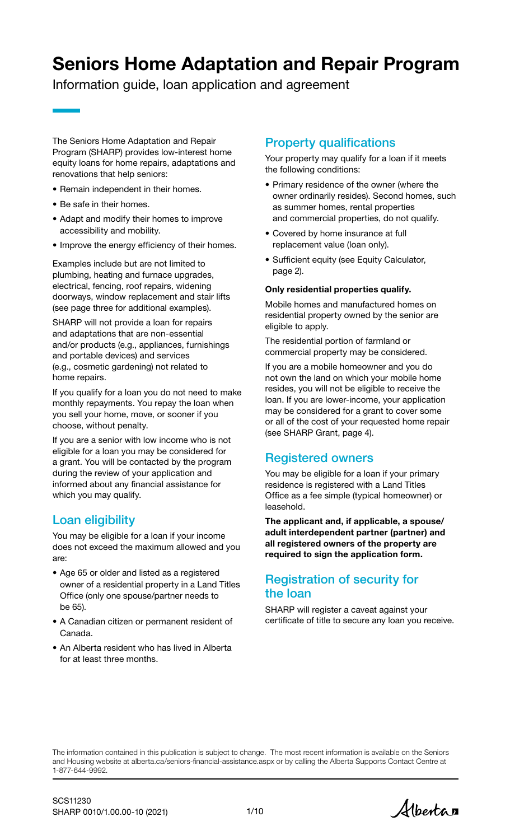# Seniors Home Adaptation and Repair Program

Information guide, loan application and agreement

The Seniors Home Adaptation and Repair Program (SHARP) provides low-interest home equity loans for home repairs, adaptations and renovations that help seniors:

- Remain independent in their homes.
- Be safe in their homes.
- Adapt and modify their homes to improve accessibility and mobility.
- Improve the energy efficiency of their homes.

Examples include but are not limited to plumbing, heating and furnace upgrades, electrical, fencing, roof repairs, widening doorways, window replacement and stair lifts (see page three for additional examples).

SHARP will not provide a loan for repairs and adaptations that are non-essential and/or products (e.g., appliances, furnishings and portable devices) and services (e.g., cosmetic gardening) not related to home repairs.

If you qualify for a loan you do not need to make monthly repayments. You repay the loan when you sell your home, move, or sooner if you choose, without penalty.

If you are a senior with low income who is not eligible for a loan you may be considered for a grant. You will be contacted by the program during the review of your application and informed about any financial assistance for which you may qualify.

# Loan eligibility

You may be eligible for a loan if your income does not exceed the maximum allowed and you are:

- Age 65 or older and listed as a registered owner of a residential property in a Land Titles Office (only one spouse/partner needs to be 65).
- A Canadian citizen or permanent resident of Canada.
- An Alberta resident who has lived in Alberta for at least three months.

# Property qualifications

Your property may qualify for a loan if it meets the following conditions:

- Primary residence of the owner (where the owner ordinarily resides). Second homes, such as summer homes, rental properties and commercial properties, do not qualify.
- Covered by home insurance at full replacement value (loan only).
- Sufficient equity (see Equity Calculator, page 2).

### Only residential properties qualify.

Mobile homes and manufactured homes on residential property owned by the senior are eligible to apply.

The residential portion of farmland or commercial property may be considered.

If you are a mobile homeowner and you do not own the land on which your mobile home resides, you will not be eligible to receive the loan. If you are lower-income, your application may be considered for a grant to cover some or all of the cost of your requested home repair (see SHARP Grant, page 4).

# Registered owners

You may be eligible for a loan if your primary residence is registered with a Land Titles Office as a fee simple (typical homeowner) or leasehold.

The applicant and, if applicable, a spouse/ adult interdependent partner (partner) and all registered owners of the property are required to sign the application form.

## Registration of security for the loan

SHARP will register a caveat against your certificate of title to secure any loan you receive.

The information contained in this publication is subject to change. The most recent information is available on the Seniors and Housing website at [alberta.ca/seniors-financial-assistance.aspx](https://www.alberta.ca/seniors-financial-assistance.aspx) or by calling the Alberta Supports Contact Centre at 1-877-644-9992.

Alberta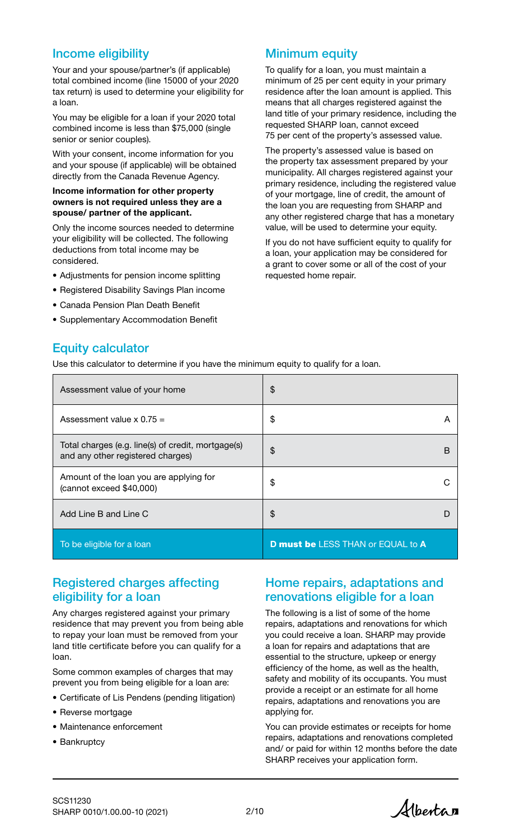### Income eligibility

Your and your spouse/partner's (if applicable) total combined income (line 15000 of your 2020 tax return) is used to determine your eligibility for a loan.

You may be eligible for a loan if your 2020 total combined income is less than \$75,000 (single senior or senior couples).

With your consent, income information for you and your spouse (if applicable) will be obtained directly from the Canada Revenue Agency.

#### Income information for other property owners is not required unless they are a spouse/ partner of the applicant.

Only the income sources needed to determine your eligibility will be collected. The following deductions from total income may be considered.

- Adjustments for pension income splitting
- Registered Disability Savings Plan income
- Canada Pension Plan Death Benefit
- Supplementary Accommodation Benefit

### Minimum equity

To qualify for a loan, you must maintain a minimum of 25 per cent equity in your primary residence after the loan amount is applied. This means that all charges registered against the land title of your primary residence, including the requested SHARP loan, cannot exceed 75 per cent of the property's assessed value.

The property's assessed value is based on the property tax assessment prepared by your municipality. All charges registered against your primary residence, including the registered value of your mortgage, line of credit, the amount of the loan you are requesting from SHARP and any other registered charge that has a monetary value, will be used to determine your equity.

If you do not have sufficient equity to qualify for a loan, your application may be considered for a grant to cover some or all of the cost of your requested home repair.

## Equity calculator

Use this calculator to determine if you have the minimum equity to qualify for a loan.

| Assessment value of your home                                                           | $\frac{1}{2}$                            |                |
|-----------------------------------------------------------------------------------------|------------------------------------------|----------------|
| Assessment value $\times$ 0.75 =                                                        | \$                                       | $\overline{A}$ |
| Total charges (e.g. line(s) of credit, mortgage(s)<br>and any other registered charges) | \$                                       | B              |
| Amount of the loan you are applying for<br>(cannot exceed \$40,000)                     | \$                                       |                |
| Add Line B and Line C                                                                   | $\boldsymbol{\hat{\theta}}$              |                |
| To be eligible for a loan                                                               | <b>D must be LESS THAN or EQUAL to A</b> |                |

### Registered charges affecting eligibility for a loan

Any charges registered against your primary residence that may prevent you from being able to repay your loan must be removed from your land title certificate before you can qualify for a loan.

Some common examples of charges that may prevent you from being eligible for a loan are:

- Certificate of Lis Pendens (pending litigation)
- Reverse mortgage
- Maintenance enforcement
- Bankruptcy

### Home repairs, adaptations and renovations eligible for a loan

The following is a list of some of the home repairs, adaptations and renovations for which you could receive a loan. SHARP may provide a loan for repairs and adaptations that are essential to the structure, upkeep or energy efficiency of the home, as well as the health, safety and mobility of its occupants. You must provide a receipt or an estimate for all home repairs, adaptations and renovations you are applying for.

You can provide estimates or receipts for home repairs, adaptations and renovations completed and/ or paid for within 12 months before the date SHARP receives your application form.

Alberta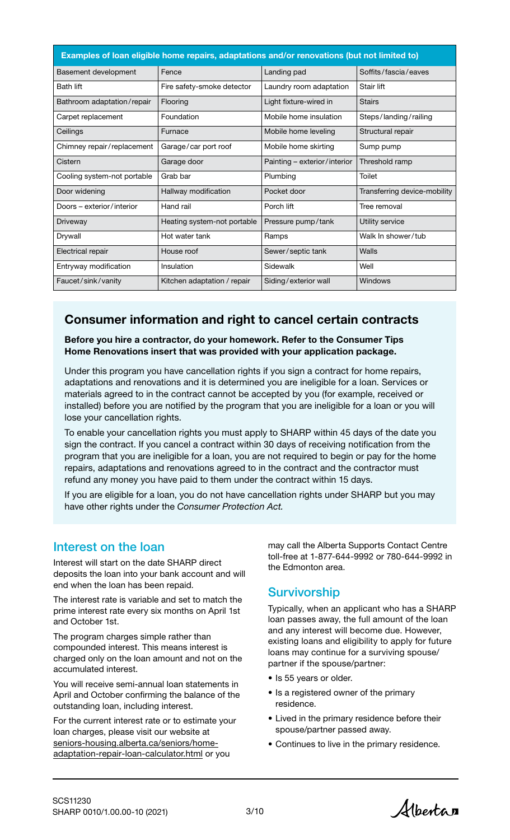| Examples of loan eligible home repairs, adaptations and/or renovations (but not limited to) |                             |                              |                              |  |  |
|---------------------------------------------------------------------------------------------|-----------------------------|------------------------------|------------------------------|--|--|
| Basement development                                                                        | Fence                       | Landing pad                  | Soffits/fascia/eaves         |  |  |
| <b>Bath lift</b>                                                                            | Fire safety-smoke detector  | Laundry room adaptation      | Stair lift                   |  |  |
| Bathroom adaptation/repair                                                                  | Flooring                    | Light fixture-wired in       | <b>Stairs</b>                |  |  |
| Carpet replacement                                                                          | Foundation                  | Mobile home insulation       | Steps/landing/railing        |  |  |
| Ceilings                                                                                    | Furnace                     | Mobile home leveling         | Structural repair            |  |  |
| Chimney repair/replacement                                                                  | Garage/car port roof        | Mobile home skirting         | Sump pump                    |  |  |
| Cistern                                                                                     | Garage door                 | Painting – exterior/interior | Threshold ramp               |  |  |
| Cooling system-not portable                                                                 | Grab bar                    | Plumbing                     | Toilet                       |  |  |
| Door widening                                                                               | Hallway modification        | Pocket door                  | Transferring device-mobility |  |  |
| Doors – exterior/interior                                                                   | Hand rail                   | Porch lift                   | Tree removal                 |  |  |
| Driveway                                                                                    | Heating system-not portable | Pressure pump/tank           | Utility service              |  |  |
| Drywall                                                                                     | Hot water tank              | Ramps                        | Walk In shower/tub           |  |  |
| Electrical repair                                                                           | House roof                  | Sewer/septic tank            | Walls                        |  |  |
| Entryway modification                                                                       | Insulation                  | Sidewalk                     | Well                         |  |  |
| Faucet/sink/vanity                                                                          | Kitchen adaptation / repair | Siding/exterior wall         | Windows                      |  |  |

# Consumer information and right to cancel certain contracts

Before you hire a contractor, do your homework. Refer to the Consumer Tips Home Renovations insert that was provided with your application package.

Under this program you have cancellation rights if you sign a contract for home repairs, adaptations and renovations and it is determined you are ineligible for a loan. Services or materials agreed to in the contract cannot be accepted by you (for example, received or installed) before you are notified by the program that you are ineligible for a loan or you will lose your cancellation rights.

To enable your cancellation rights you must apply to SHARP within 45 days of the date you sign the contract. If you cancel a contract within 30 days of receiving notification from the program that you are ineligible for a loan, you are not required to begin or pay for the home repairs, adaptations and renovations agreed to in the contract and the contractor must refund any money you have paid to them under the contract within 15 days.

If you are eligible for a loan, you do not have cancellation rights under SHARP but you may have other rights under the *Consumer Protection Act.*

### Interest on the loan

Interest will start on the date SHARP direct deposits the loan into your bank account and will end when the loan has been repaid.

The interest rate is variable and set to match the prime interest rate every six months on April 1st and October 1st.

The program charges simple rather than compounded interest. This means interest is charged only on the loan amount and not on the accumulated interest.

You will receive semi-annual loan statements in April and October confirming the balance of the outstanding loan, including interest.

For the current interest rate or to estimate your loan charges, please visit our website at seniors-housing.alberta.ca/seniors/home[adaptation-repair-loan-calculator.html or y](https://www.seniors-housing.alberta.ca/seniors/home-adaptation-repair-loan-calculator.html)ou

may call the Alberta Supports Contact Centre toll-free at 1-877-644-9992 or 780-644-9992 in the Edmonton area.

### **Survivorship**

Typically, when an applicant who has a SHARP loan passes away, the full amount of the loan and any interest will become due. However, existing loans and eligibility to apply for future loans may continue for a surviving spouse/ partner if the spouse/partner:

- Is 55 years or older.
- Is a registered owner of the primary residence.
- Lived in the primary residence before their spouse/partner passed away.
- Continues to live in the primary residence.

Albertan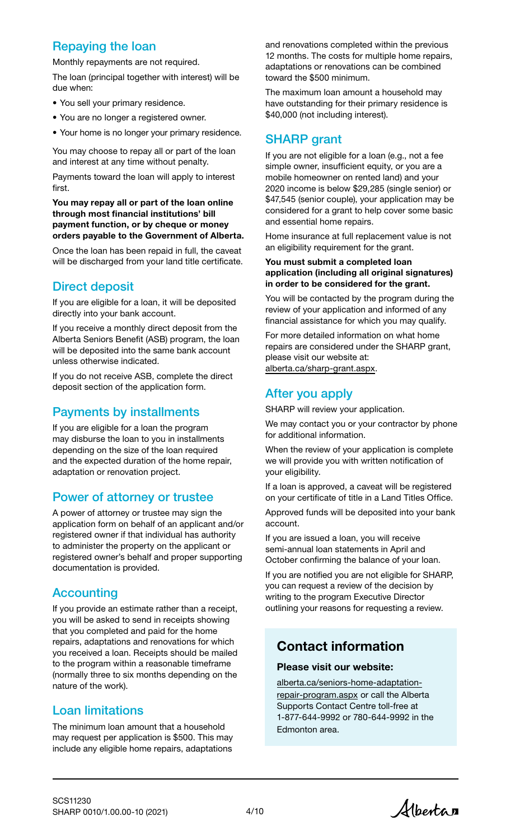# Repaying the loan

Monthly repayments are not required.

The loan (principal together with interest) will be due when:

- You sell your primary residence.
- You are no longer a registered owner.
- Your home is no longer your primary residence.

You may choose to repay all or part of the loan and interest at any time without penalty.

Payments toward the loan will apply to interest first.

You may repay all or part of the loan online through most financial institutions' bill payment function, or by cheque or money orders payable to the Government of Alberta.

Once the loan has been repaid in full, the caveat will be discharged from your land title certificate.

## Direct deposit

If you are eligible for a loan, it will be deposited directly into your bank account.

If you receive a monthly direct deposit from the Alberta Seniors Benefit (ASB) program, the loan will be deposited into the same bank account unless otherwise indicated.

If you do not receive ASB, complete the direct deposit section of the application form.

# Payments by installments

If you are eligible for a loan the program may disburse the loan to you in installments depending on the size of the loan required and the expected duration of the home repair, adaptation or renovation project.

### Power of attorney or trustee

A power of attorney or trustee may sign the application form on behalf of an applicant and/or registered owner if that individual has authority to administer the property on the applicant or registered owner's behalf and proper supporting documentation is provided.

### **Accounting**

If you provide an estimate rather than a receipt, you will be asked to send in receipts showing that you completed and paid for the home repairs, adaptations and renovations for which you received a loan. Receipts should be mailed to the program within a reasonable timeframe (normally three to six months depending on the nature of the work).

### Loan limitations

The minimum loan amount that a household may request per application is \$500. This may include any eligible home repairs, adaptations

and renovations completed within the previous 12 months. The costs for multiple home repairs, adaptations or renovations can be combined toward the \$500 minimum.

The maximum loan amount a household may have outstanding for their primary residence is \$40,000 (not including interest).

### SHARP grant

If you are not eligible for a loan (e.g., not a fee simple owner, insufficient equity, or you are a mobile homeowner on rented land) and your 2020 income is below \$29,285 (single senior) or \$47,545 (senior couple), your application may be considered for a grant to help cover some basic and essential home repairs.

Home insurance at full replacement value is not an eligibility requirement for the grant.

#### You must submit a completed loan application (including all original signatures) in order to be considered for the grant.

You will be contacted by the program during the review of your application and informed of any financial assistance for which you may qualify.

For more detailed information on what home repairs are considered under the SHARP grant, please visit our website at: [alberta.ca/sharp-grant.aspx](https://www.alberta.ca/sharp-grant.aspx).

## After you apply

SHARP will review your application.

We may contact you or your contractor by phone for additional information.

When the review of your application is complete we will provide you with written notification of your eligibility.

If a loan is approved, a caveat will be registered on your certificate of title in a Land Titles Office.

Approved funds will be deposited into your bank account.

If you are issued a loan, you will receive semi-annual loan statements in April and October confirming the balance of your loan.

If you are notified you are not eligible for SHARP, you can request a review of the decision by writing to the program Executive Director outlining your reasons for requesting a review.

# Contact information

### Please visit our website:

[alberta.ca/seniors-home-adaptation](https://www.alberta.ca/seniors-home-adaptation-repair-program.aspx)repair-program.aspx or call the Alberta Supports Contact Centre toll-free at 1-877-644-9992 or 780-644-9992 in the Edmonton area.

Albertan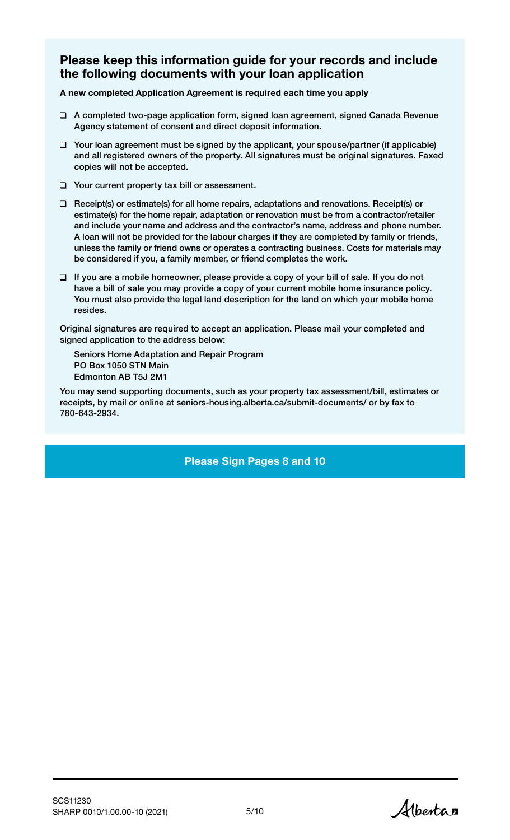### Please keep this information guide for your records and include the following documents with your loan application

A new completed Application Agreement is required each time you apply

- A completed two-page application form, signed loan agreement, signed Canada Revenue Agency statement of consent and direct deposit information.
- $\Box$  Your loan agreement must be signed by the applicant, your spouse/partner (if applicable) and all registered owners of the property. All signatures must be original signatures. Faxed copies will not be accepted.
- □ Your current property tax bill or assessment.
- $\Box$  Receipt(s) or estimate(s) for all home repairs, adaptations and renovations. Receipt(s) or estimate(s) for the home repair, adaptation or renovation must be from a contractor/retailer and include your name and address and the contractor's name, address and phone number. A loan will not be provided for the labour charges if they are completed by family or friends, unless the family or friend owns or operates a contracting business. Costs for materials may be considered if you, a family member, or friend completes the work.
- $\Box$  If you are a mobile homeowner, please provide a copy of your bill of sale. If you do not have a bill of sale you may provide a copy of your current mobile home insurance policy. You must also provide the legal land description for the land on which your mobile home resides.

Original signatures are required to accept an application. Please mail your completed and signed application to the address below:

Seniors Home Adaptation and Repair Program PO Box 1050 STN Main Edmonton AB T5J 2M1

You may send supporting documents, such as your property tax assessment/bill, estimates or receipts, by mail or online at [seniors-housing.alberta.ca/submit-documents/](https://www.seniors-housing.alberta.ca/submit-documents/) or by fax to 780-643-2934.

Please Sign Pages 8 and 10

Albertan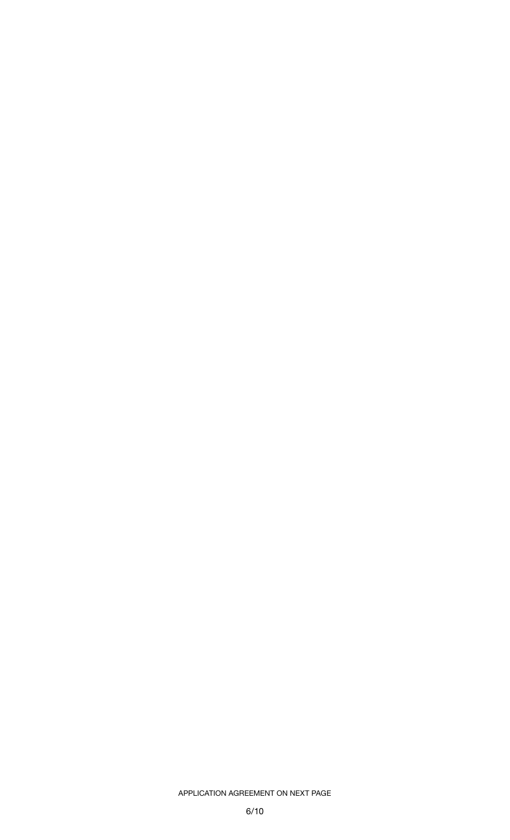### APPLICATION AGREEMENT ON NEXT PAGE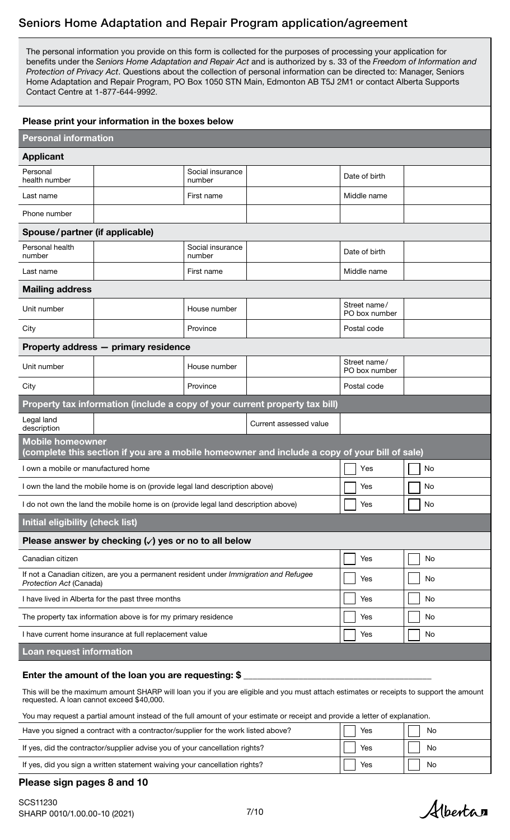### Seniors Home Adaptation and Repair Program application/agreement

The personal information you provide on this form is collected for the purposes of processing your application for benefits under the *Seniors Home Adaptation and Repair Act* and is authorized by s. 33 of the *Freedom of Information and Protection of Privacy Act*. Questions about the collection of personal information can be directed to: Manager, Seniors Home Adaptation and Repair Program, PO Box 1050 STN Main, Edmonton AB T5J 2M1 or contact Alberta Supports Contact Centre at 1-877-644-9992.

| Please print your information in the boxes below                                                                                                                                     |                                                                                  |                            |                                                                                               |                               |    |
|--------------------------------------------------------------------------------------------------------------------------------------------------------------------------------------|----------------------------------------------------------------------------------|----------------------------|-----------------------------------------------------------------------------------------------|-------------------------------|----|
| <b>Personal information</b>                                                                                                                                                          |                                                                                  |                            |                                                                                               |                               |    |
| <b>Applicant</b>                                                                                                                                                                     |                                                                                  |                            |                                                                                               |                               |    |
| Personal<br>health number                                                                                                                                                            |                                                                                  | Social insurance<br>number |                                                                                               | Date of birth                 |    |
| Last name                                                                                                                                                                            |                                                                                  | First name                 |                                                                                               | Middle name                   |    |
| Phone number                                                                                                                                                                         |                                                                                  |                            |                                                                                               |                               |    |
| Spouse/partner (if applicable)                                                                                                                                                       |                                                                                  |                            |                                                                                               |                               |    |
| Personal health<br>number                                                                                                                                                            |                                                                                  | Social insurance<br>number |                                                                                               | Date of birth                 |    |
| Last name                                                                                                                                                                            |                                                                                  | First name                 |                                                                                               | Middle name                   |    |
| <b>Mailing address</b>                                                                                                                                                               |                                                                                  |                            |                                                                                               |                               |    |
| Unit number                                                                                                                                                                          |                                                                                  | House number               |                                                                                               | Street name/<br>PO box number |    |
| City                                                                                                                                                                                 |                                                                                  | Province                   |                                                                                               | Postal code                   |    |
|                                                                                                                                                                                      | Property address - primary residence                                             |                            |                                                                                               |                               |    |
| Unit number                                                                                                                                                                          |                                                                                  | House number               |                                                                                               | Street name/<br>PO box number |    |
| City                                                                                                                                                                                 |                                                                                  | Province                   |                                                                                               | Postal code                   |    |
|                                                                                                                                                                                      |                                                                                  |                            | Property tax information (include a copy of your current property tax bill)                   |                               |    |
| Legal land<br>description                                                                                                                                                            |                                                                                  |                            | Current assessed value                                                                        |                               |    |
| <b>Mobile homeowner</b>                                                                                                                                                              |                                                                                  |                            | (complete this section if you are a mobile homeowner and include a copy of your bill of sale) |                               |    |
| I own a mobile or manufactured home                                                                                                                                                  |                                                                                  |                            |                                                                                               | Yes                           | No |
| I own the land the mobile home is on (provide legal land description above)                                                                                                          |                                                                                  |                            | Yes                                                                                           | No                            |    |
| I do not own the land the mobile home is on (provide legal land description above)                                                                                                   |                                                                                  |                            | Yes                                                                                           | No                            |    |
| <b>Initial eligibility (check list)</b>                                                                                                                                              |                                                                                  |                            |                                                                                               |                               |    |
|                                                                                                                                                                                      | Please answer by checking $(\checkmark)$ yes or no to all below                  |                            |                                                                                               |                               |    |
| Canadian citizen                                                                                                                                                                     |                                                                                  |                            |                                                                                               | Yes                           | No |
| If not a Canadian citizen, are you a permanent resident under Immigration and Refugee<br>Protection Act (Canada)                                                                     |                                                                                  |                            | Yes                                                                                           | No                            |    |
| I have lived in Alberta for the past three months                                                                                                                                    |                                                                                  |                            | Yes                                                                                           | No                            |    |
| The property tax information above is for my primary residence                                                                                                                       |                                                                                  |                            | Yes                                                                                           | No                            |    |
| I have current home insurance at full replacement value                                                                                                                              |                                                                                  |                            | Yes                                                                                           | No                            |    |
| Loan request information                                                                                                                                                             |                                                                                  |                            |                                                                                               |                               |    |
| Enter the amount of the loan you are requesting: \$                                                                                                                                  |                                                                                  |                            |                                                                                               |                               |    |
| This will be the maximum amount SHARP will loan you if you are eligible and you must attach estimates or receipts to support the amount<br>requested. A loan cannot exceed \$40,000. |                                                                                  |                            |                                                                                               |                               |    |
| You may request a partial amount instead of the full amount of your estimate or receipt and provide a letter of explanation.                                                         |                                                                                  |                            |                                                                                               |                               |    |
|                                                                                                                                                                                      | Have you signed a contract with a contractor/supplier for the work listed above? |                            |                                                                                               | Yes                           | No |
|                                                                                                                                                                                      |                                                                                  |                            |                                                                                               |                               |    |

# If yes, did the contractor/supplier advise you of your cancellation rights?  $\|\Box$  Yes  $\|\Box$  No If yes, did you sign a written statement waiving your cancellation rights?  $\Box$  Yes  $\Box$  No

### Please sign pages 8 and 10

Albertan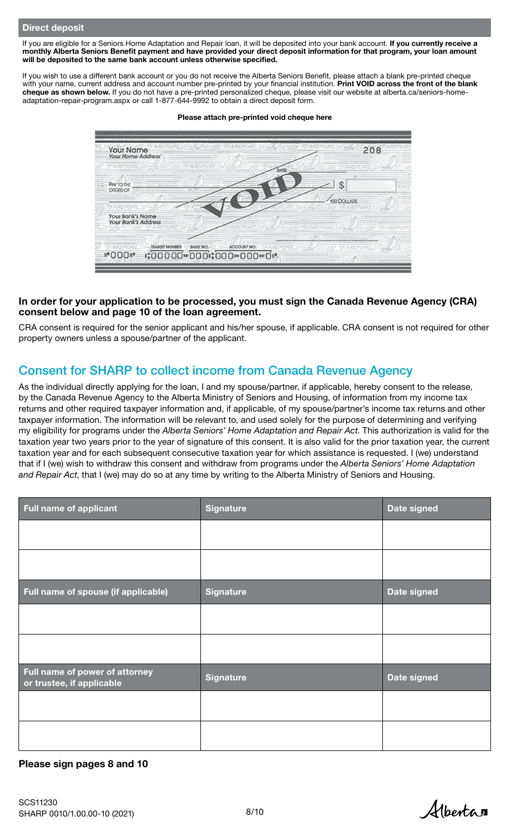If you are eligible for a Seniors Home Adaptation and Repair loan, it will be deposited into your bank account. If you currently receive a monthly Alberta Seniors Benefit payment and have provided your direct deposit information for that program, your loan amount will be deposited to the same bank account unless otherwise specified.

If you wish to use a different bank account or you do not receive the Alberta Seniors Benefit, please attach a blank pre-printed cheque with your name, current address and account number pre-printed by your financial institution. Print VOID across the front of the blank cheque as shown below. [If you do not have a pre-printed personalized cheque, please visit our website at alberta.ca/seniors-home](https://www.alberta.ca/seniors-home-adaptation-repair-program.aspx)adaptation-repair-program.aspx or call 1-877-644-9992 to obtain a direct deposit form.



#### Please attach pre-printed void cheque here

### In order for your application to be processed, you must sign the Canada Revenue Agency (CRA) consent below and page 10 of the loan agreement.

CRA consent is required for the senior applicant and his/her spouse, if applicable. CRA consent is not required for other property owners unless a spouse/partner of the applicant.

### Consent for SHARP to collect income from Canada Revenue Agency

As the individual directly applying for the loan, I and my spouse/partner, if applicable, hereby consent to the release, by the Canada Revenue Agency to the Alberta Ministry of Seniors and Housing, of information from my income tax returns and other required taxpayer information and, if applicable, of my spouse/partner's income tax returns and other taxpayer information. The information will be relevant to, and used solely for the purpose of determining and verifying my eligibility for programs under the *Alberta Seniors' Home Adaptation and Repair Act*. This authorization is valid for the taxation year two years prior to the year of signature of this consent. It is also valid for the prior taxation year, the current taxation year and for each subsequent consecutive taxation year for which assistance is requested. I (we) understand that if I (we) wish to withdraw this consent and withdraw from programs under the *Alberta Seniors' Home Adaptation and Repair Act*, that I (we) may do so at any time by writing to the Alberta Ministry of Seniors and Housing.

| <b>Full name of applicant</b>                               | Signature        | Date signed        |
|-------------------------------------------------------------|------------------|--------------------|
|                                                             |                  |                    |
|                                                             |                  |                    |
| Full name of spouse (if applicable)                         | <b>Signature</b> | <b>Date signed</b> |
|                                                             |                  |                    |
|                                                             |                  |                    |
| Full name of power of attorney<br>or trustee, if applicable | <b>Signature</b> | Date signed        |
|                                                             |                  |                    |
|                                                             |                  |                    |

### Please sign pages 8 and 10

Alberta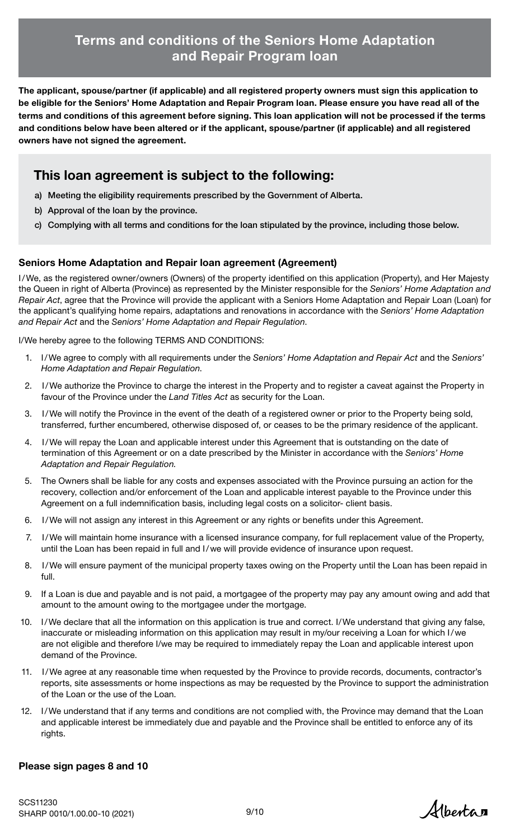# Terms and conditions of the Seniors Home Adaptation and Repair Program loan

The applicant, spouse/partner (if applicable) and all registered property owners must sign this application to be eligible for the Seniors' Home Adaptation and Repair Program loan. Please ensure you have read all of the terms and conditions of this agreement before signing. This loan application will not be processed if the terms and conditions below have been altered or if the applicant, spouse/partner (if applicable) and all registered owners have not signed the agreement.

# This loan agreement is subject to the following:

- a) Meeting the eligibility requirements prescribed by the Government of Alberta.
- b) Approval of the loan by the province.
- c) Complying with all terms and conditions for the loan stipulated by the province, including those below.

### Seniors Home Adaptation and Repair loan agreement (Agreement)

I/We, as the registered owner/owners (Owners) of the property identified on this application (Property), and Her Majesty the Queen in right of Alberta (Province) as represented by the Minister responsible for the *Seniors' Home Adaptation and Repair Act*, agree that the Province will provide the applicant with a Seniors Home Adaptation and Repair Loan (Loan) for the applicant's qualifying home repairs, adaptations and renovations in accordance with the *Seniors' Home Adaptation and Repair Act* and the *Seniors' Home Adaptation and Repair Regulation*.

I/We hereby agree to the following TERMS AND CONDITIONS:

- 1. I/We agree to comply with all requirements under the *Seniors' Home Adaptation and Repair Act* and the *Seniors' Home Adaptation and Repair Regulation*.
- 2. I/We authorize the Province to charge the interest in the Property and to register a caveat against the Property in favour of the Province under the *Land Titles Act* as security for the Loan.
- 3. I/We will notify the Province in the event of the death of a registered owner or prior to the Property being sold, transferred, further encumbered, otherwise disposed of, or ceases to be the primary residence of the applicant.
- 4. I/We will repay the Loan and applicable interest under this Agreement that is outstanding on the date of termination of this Agreement or on a date prescribed by the Minister in accordance with the *Seniors' Home Adaptation and Repair Regulation.*
- 5. The Owners shall be liable for any costs and expenses associated with the Province pursuing an action for the recovery, collection and/or enforcement of the Loan and applicable interest payable to the Province under this Agreement on a full indemnification basis, including legal costs on a solicitor- client basis.
- 6. I/We will not assign any interest in this Agreement or any rights or benefits under this Agreement.
- 7. I/We will maintain home insurance with a licensed insurance company, for full replacement value of the Property, until the Loan has been repaid in full and I/we will provide evidence of insurance upon request.
- 8. I/We will ensure payment of the municipal property taxes owing on the Property until the Loan has been repaid in full.
- 9. If a Loan is due and payable and is not paid, a mortgagee of the property may pay any amount owing and add that amount to the amount owing to the mortgagee under the mortgage.
- 10. I/We declare that all the information on this application is true and correct. I/We understand that giving any false, inaccurate or misleading information on this application may result in my/our receiving a Loan for which I/we are not eligible and therefore I/we may be required to immediately repay the Loan and applicable interest upon demand of the Province.
- 11. I/We agree at any reasonable time when requested by the Province to provide records, documents, contractor's reports, site assessments or home inspections as may be requested by the Province to support the administration of the Loan or the use of the Loan.
- 12. I/We understand that if any terms and conditions are not complied with, the Province may demand that the Loan and applicable interest be immediately due and payable and the Province shall be entitled to enforce any of its rights.

### Please sign pages 8 and 10